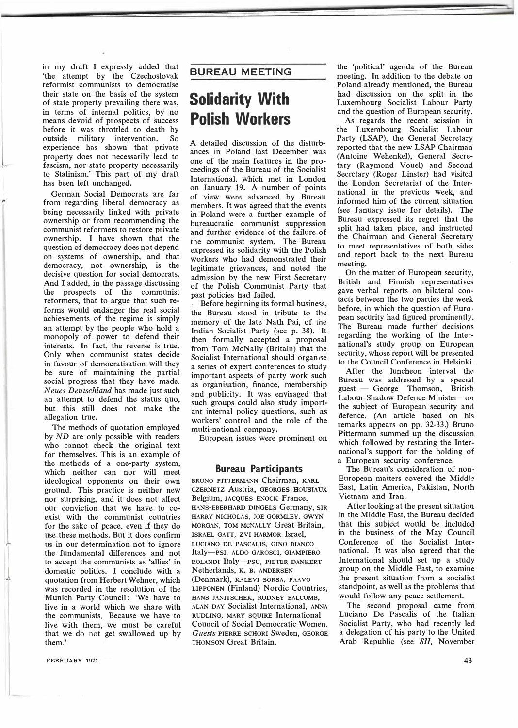## **BUREAU MEETING**

## **Solidarity With Polish Workers**

A detailed discussion of the disturbances in Poland last December was one of the main features in the proceedings of the Bureau of the Socialist International, which met in London on January 19. A number of points of view were advanced by Bureau members. It was agreed that the events in Poland were a further example of bureaucratic communist suppression and further evidence of the failure of the communist system. The Bureau expressed its solidarity with the Polish workers who had demonstrated their legitimate grievances, and noted the admission by the new First Secretary of the Polish Communist Party that past policies had failed.

, Before beginning its formal business, the Bureau stood in tribute to the memory of the late Nath Pai, of the Indian Socialist Party (see p. 38). It then formally accepted a proposal from Tom McNally (Britain) that the Socialist International should orgamse a series of expert conferences to study important aspects of party work such as organisation, finance, membership and publicity. It was envisaged that such groups could also study important internal policy questions, such as workers' control and the role of the multi-national company.

European issues were prominent on

## **Bureau Participants**

BRUNO PITIERMANN Chairman, KARL CZERNETZ Austria, GEORGES HOUSIAUX Belgium, JACQUES ENOCK France, HANS-EBERHARD DINGELS Germany, SIR HARRY NICHOLAS, JOE GORMLEY, GWYN MORGAN, TOM MCNALLY Great Britain, ISRAEL GATT, ZVI HARMOR Israel, LUCIANO DE PASCALIS, GINO BIANCO Italy-PSI, ALDO GAROSCI, GIAMPIERO ROLANDI Italy-PSU, PIETER DANKERT Netherlands, K. B. ANDERSEN (Denmark), KALEVI SORSA, PAAVO LIPPONEN (Finland) Nordic Countries, HANS JANITSCHEK, RODNEY BALCOMB, ALAN DAY Socialist International, ANNA RUDLING, MARY SQUIRE International Council of Social Democratic Women. *Guests* PIERRE SCHORI Sweden, GEORGE THOMSON Great Britain.

the 'political' agenda of the Bureau meeting. In addition to the debate on Poland already mentioned, the Bureau had discussion on the split in the Luxembourg Socialist Labour Party and the question of European security.

As regards the recent scission in the Luxembourg Socialist Labour Party (LSAP), the General Secretary reported that the new LSAP Chairman (Antoine Wehenkel), General Secretary (Raymond Vouel) and Second Secretary (Roger Linster) had visited the London Secretariat of the International in the previous week, and informed him of the current situation (see January issue for details). The Bureau expressed its regret that the split had taken place, and instructed the Chairman and General Secretary to meet representatives of both sides and report back to the next Bureau meeting.

On the matter of European security, British and Finnish representatives gave verbal reports on bilateral contacts between the two parties the week before, in which the question of European security had figured prominently. The Bureau made further decisions regarding the working of the International's study group on European security, whose report will be presented to the Council Conference in Helsinki.

After the luncheon interval the Bureau was addressed by a special  $g$ uest — George Thomson, British Labour Shadow Defence Minister-on the subject of European security and defence. (An article based on his remarks appears on pp. 32-33.) Bruno Pittermann summed up the discussion which followed by restating the International's support for the holding of a European security conference.

The Bureau's consideration of non-European matters covered the Middle East, Latin America, Pakistan, North Vietnam and Iran.

After looking at the present situation in the Middle East, the Bureau decided that this subject would be included in the business of the May Council Conference of the Socialist International. It was also agreed that the International should set up a study group on the Middle East, to examine the present situation from a socialist standpoint, as well as the problems that would follow any peace settlement.

The second proposal came from Luciano De Pascalis of the Italian Socialist Party, who had recently led a delegation of his party to the United Arab Republic (see *Sll,* November